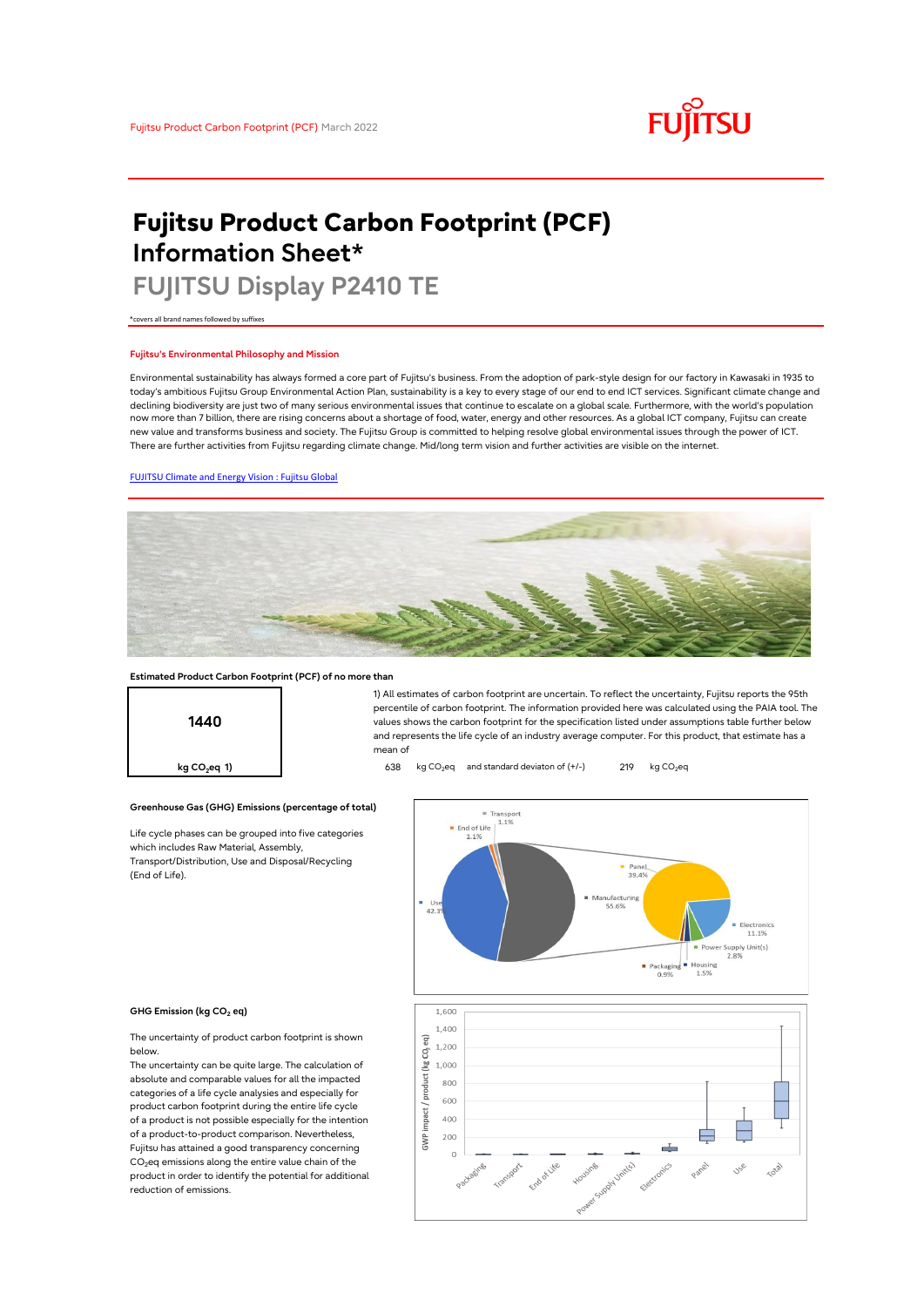# **FUJITSU**

# **Fujitsu Product Carbon Footprint (PCF) Information Sheet\***

# **FUJITSU Display P2410 TE**

\*covers all brand names followed by suffixes

## **Fujitsu's Environmental Philosophy and Mission**

Environmental sustainability has always formed a core part of Fujitsu's business. From the adoption of park-style design for our factory in Kawasaki in 1935 to today's ambitious Fujitsu Group Environmental Action Plan, sustainability is a key to every stage of our end to end ICT services. Significant climate change and declining biodiversity are just two of many serious environmental issues that continue to escalate on a global scale. Furthermore, with the world's population now more than 7 billion, there are rising concerns about a shortage of food, water, energy and other resources. As a global ICT company, Fujitsu can create new value and transforms business and society. The Fujitsu Group is committed to helping resolve global environmental issues through the power of ICT. There are further activities from Fujitsu regarding climate change. Mid/long term vision and further activities are visible on the internet.

# [FUJITSU Climate and Energy Vision : Fujitsu Global](https://www.fujitsu.com/global/about/environment/climate-energy-vision/)



mean of

### **Estimated Product Carbon Footprint (PCF) of no more than**



**Greenhouse Gas (GHG) Emissions (percentage of total)**

Life cycle phases can be grouped into five categories which includes Raw Material, Assembly, Transport/Distribution, Use and Disposal/Recycling (End of Life).



1) All estimates of carbon footprint are uncertain. To reflect the uncertainty, Fujitsu reports the 95th percentile of carbon footprint. The information provided here was calculated using the PAIA tool. The values shows the carbon footprint for the specification listed under assumptions table further below and represents the life cycle of an industry average computer. For this product, that estimate has a

#### **GHG Emission (kg CO<sup>2</sup> eq)**

The uncertainty of product carbon footprint is shown below.

The uncertainty can be quite large. The calculation of absolute and comparable values for all the impacted categories of a life cycle analysies and especially for product carbon footprint during the entire life cycle of a product is not possible especially for the intention of a product-to-product comparison. Nevertheless, Fujitsu has attained a good transparency concerning  $CO<sub>2</sub>$ eq emissions along the entire value chain of the product in order to identify the potential for additional reduction of emissions.